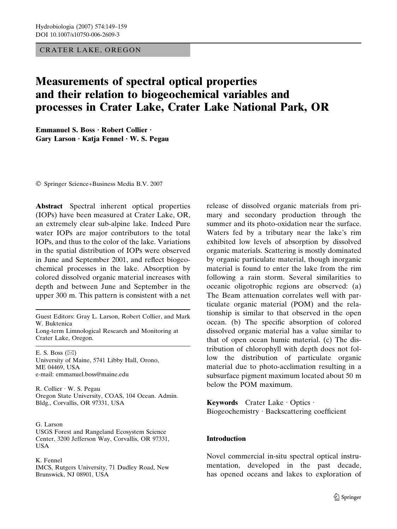## CRATER LAKE, OREGON

# Measurements of spectral optical properties and their relation to biogeochemical variables and processes in Crater Lake, Crater Lake National Park, OR

Emmanuel S. Boss · Robert Collier · Gary Larson  $\cdot$  Katja Fennel  $\cdot$  W. S. Pegau

Springer Science+Business Media B.V. 2007

Abstract Spectral inherent optical properties (IOPs) have been measured at Crater Lake, OR, an extremely clear sub-alpine lake. Indeed Pure water IOPs are major contributors to the total IOPs, and thus to the color of the lake. Variations in the spatial distribution of IOPs were observed in June and September 2001, and reflect biogeochemical processes in the lake. Absorption by colored dissolved organic material increases with depth and between June and September in the upper 300 m. This pattern is consistent with a net

Guest Editors: Gray L. Larson, Robert Collier, and Mark W. Buktenica Long-term Limnological Research and Monitoring at Crater Lake, Oregon.

E. S. Boss  $(\boxtimes)$ University of Maine, 5741 Libby Hall, Orono, ME 04469, USA e-mail: emmanuel.boss@maine.edu

R. Collier · W. S. Pegau Oregon State University, COAS, 104 Ocean. Admin. Bldg., Corvallis, OR 97331, USA

G. Larson USGS Forest and Rangeland Ecosystem Science Center, 3200 Jefferson Way, Corvallis, OR 97331, USA

#### K. Fennel

IMCS, Rutgers University, 71 Dudley Road, New Brunswick, NJ 08901, USA

release of dissolved organic materials from primary and secondary production through the summer and its photo-oxidation near the surface. Waters fed by a tributary near the lake's rim exhibited low levels of absorption by dissolved organic materials. Scattering is mostly dominated by organic particulate material, though inorganic material is found to enter the lake from the rim following a rain storm. Several similarities to oceanic oligotrophic regions are observed: (a) The Beam attenuation correlates well with particulate organic material (POM) and the relationship is similar to that observed in the open ocean. (b) The specific absorption of colored dissolved organic material has a value similar to that of open ocean humic material. (c) The distribution of chlorophyll with depth does not follow the distribution of particulate organic material due to photo-acclimation resulting in a subsurface pigment maximum located about 50 m below the POM maximum.

Keywords Crater Lake · Optics · Biogeochemistry · Backscattering coefficient

## Introduction

Novel commercial in-situ spectral optical instrumentation, developed in the past decade, has opened oceans and lakes to exploration of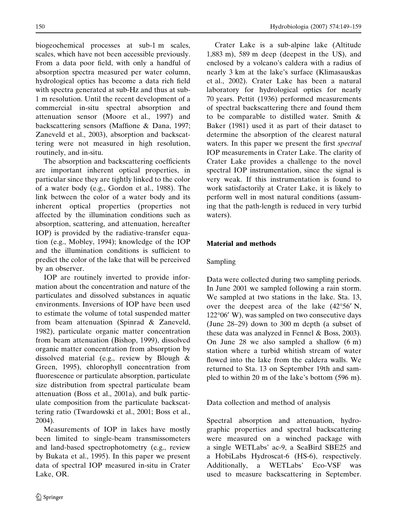biogeochemical processes at sub-1 m scales, scales, which have not been accessible previously. From a data poor field, with only a handful of absorption spectra measured per water column, hydrological optics has become a data rich field with spectra generated at sub-Hz and thus at sub-1 m resolution. Until the recent development of a commercial in-situ spectral absorption and attenuation sensor (Moore et al., 1997) and backscattering sensors (Maffione & Dana, 1997; Zaneveld et al., 2003), absorption and backscattering were not measured in high resolution, routinely, and in-situ.

The absorption and backscattering coefficients are important inherent optical properties, in particular since they are tightly linked to the color of a water body (e.g., Gordon et al., 1988). The link between the color of a water body and its inherent optical properties (properties not affected by the illumination conditions such as absorption, scattering, and attenuation, hereafter IOP) is provided by the radiative-transfer equation (e.g., Mobley, 1994); knowledge of the IOP and the illumination conditions is sufficient to predict the color of the lake that will be perceived by an observer.

IOP are routinely inverted to provide information about the concentration and nature of the particulates and dissolved substances in aquatic environments. Inversions of IOP have been used to estimate the volume of total suspended matter from beam attenuation (Spinrad & Zaneveld, 1982), particulate organic matter concentration from beam attenuation (Bishop, 1999), dissolved organic matter concentration from absorption by dissolved material (e.g., review by Blough & Green, 1995), chlorophyll concentration from fluorescence or particulate absorption, particulate size distribution from spectral particulate beam attenuation (Boss et al., 2001a), and bulk particulate composition from the particulate backscattering ratio (Twardowski et al., 2001; Boss et al., 2004).

Measurements of IOP in lakes have mostly been limited to single-beam transmissometers and land-based spectrophotometry (e.g., review by Bukata et al., 1995). In this paper we present data of spectral IOP measured in-situ in Crater Lake, OR.

Crater Lake is a sub-alpine lake (Altitude 1,883 m), 589 m deep (deepest in the US), and enclosed by a volcano's caldera with a radius of nearly 3 km at the lake's surface (Klimasauskas et al., 2002). Crater Lake has been a natural laboratory for hydrological optics for nearly 70 years. Pettit (1936) performed measurements of spectral backscattering there and found them to be comparable to distilled water. Smith & Baker (1981) used it as part of their dataset to determine the absorption of the clearest natural waters. In this paper we present the first spectral IOP measurements in Crater Lake. The clarity of Crater Lake provides a challenge to the novel spectral IOP instrumentation, since the signal is very weak. If this instrumentation is found to work satisfactorily at Crater Lake, it is likely to perform well in most natural conditions (assuming that the path-length is reduced in very turbid waters).

# Material and methods

# Sampling

Data were collected during two sampling periods. In June 2001 we sampled following a rain storm. We sampled at two stations in the lake. Sta. 13, over the deepest area of the lake  $(42^{\circ}56' \text{ N},$ 122°06′ W), was sampled on two consecutive days (June 28–29) down to 300 m depth (a subset of these data was analyzed in Fennel & Boss, 2003). On June 28 we also sampled a shallow (6 m) station where a turbid whitish stream of water flowed into the lake from the caldera walls. We returned to Sta. 13 on September 19th and sampled to within 20 m of the lake's bottom (596 m).

Data collection and method of analysis

Spectral absorption and attenuation, hydrographic properties and spectral backscattering were measured on a winched package with a single WETLabs' ac-9, a SeaBird SBE25 and a HobiLabs Hydroscat-6 (HS-6), respectively. Additionally, a WETLabs' Eco-VSF was used to measure backscattering in September.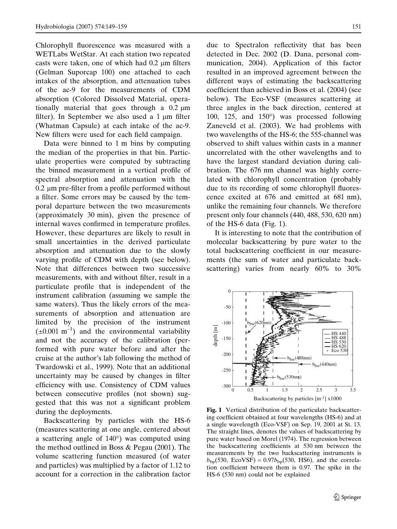Chlorophyll fluorescence was measured with a WETLabs WetStar. At each station two repeated casts were taken, one of which had  $0.2 \mu m$  filters (Gelman Suporcap 100) one attached to each intakes of the absorption, and attenuation tubes of the ac-9 for the measurements of CDM absorption (Colored Dissolved Material, operationally material that goes through a  $0.2 \mu m$ filter). In September we also used a  $1 \mu m$  filter (Whatman Capsule) at each intake of the ac-9. New filters were used for each field campaign.

Data were binned to 1 m bins by computing the median of the properties in that bin. Particulate properties were computed by subtracting the binned measurement in a vertical profile of spectral absorption and attenuation with the  $0.2 \mu m$  pre-filter from a profile performed without a filter. Some errors may be caused by the temporal departure between the two measurements (approximately 30 min), given the presence of internal waves confirmed in temperature profiles. However, these departures are likely to result in small uncertainties in the derived particulate absorption and attenuation due to the slowly varying profile of CDM with depth (see below). Note that differences between two successive measurements, with and without filter, result in a particulate profile that is independent of the instrument calibration (assuming we sample the same waters). Thus the likely errors of the measurements of absorption and attenuation are limited by the precision of the instrument  $(\pm 0.001 \text{ m}^{-1})$  and the environmental variability and not the accuracy of the calibration (performed with pure water before and after the cruise at the author's lab following the method of Twardowski et al., 1999). Note that an additional uncertainty may be caused by changes in filter efficiency with use. Consistency of CDM values between consecutive profiles (not shown) suggested that this was not a significant problem during the deployments.

Backscattering by particles with the HS-6 (measures scattering at one angle, centered about a scattering angle of  $140^{\circ}$ ) was computed using the method outlined in Boss & Pegau (2001). The volume scattering function measured (of water and particles) was multiplied by a factor of 1.12 to account for a correction in the calibration factor due to Spectralon reflectivity that has been detected in Dec. 2002 (D. Dana, personal communication, 2004). Application of this factor resulted in an improved agreement between the different ways of estimating the backscattering coefficient than achieved in Boss et al. (2004) (see below). The Eco-VSF (measures scattering at three angles in the back direction, centered at 100, 125, and  $150^{\circ}$ ) was processed following Zaneveld et al. (2003). We had problems with two wavelengths of the HS-6; the 555-channel was observed to shift values within casts in a manner uncorrelated with the other wavelengths and to have the largest standard deviation during calibration. The 676 nm channel was highly correlated with chlorophyll concentration (probably due to its recording of some chlorophyll fluorescence excited at 676 and emitted at 681 nm), unlike the remaining four channels. We therefore present only four channels (440, 488, 530, 620 nm) of the HS-6 data (Fig. 1).

It is interesting to note that the contribution of molecular backscattering by pure water to the total backscattering coefficient in our measurements (the sum of water and particulate backscattering) varies from nearly 60% to 30%



Fig. 1 Vertical distribution of the particulate backscattering coefficient obtained at four wavelengths (HS-6) and at a single wavelength (Eco-VSF) on Sep. 19, 2001 at St. 13. The straight lines, denotes the values of backscattering by pure water based on Morel (1974). The regression between the backscattering coefficients at 530 nm between the measurements by the two backscattering instruments is  $b_{\text{bp}}$ (530, EcoVSF) = 0.97 $b_{\text{bp}}$ (530, HS6), and the correlation coefficient between them is 0.97. The spike in the HS-6 (530 nm) could not be explained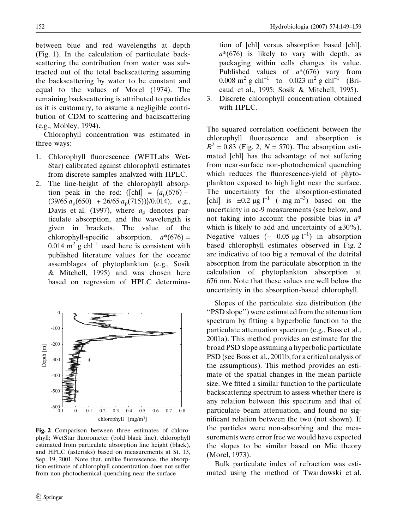between blue and red wavelengths at depth (Fig. 1). In the calculation of particulate backscattering the contribution from water was subtracted out of the total backscattering assuming the backscattering by water to be constant and equal to the values of Morel (1974). The remaining backscattering is attributed to particles as it is customary, to assume a negligible contribution of CDM to scattering and backscattering (e.g., Mobley, 1994).

Chlorophyll concentration was estimated in three ways:

- 1. Chlorophyll fluorescence (WETLabs Wet-Star) calibrated against chlorophyll estimates from discrete samples analyzed with HPLC.
- 2. The line-height of the chlorophyll absorption peak in the red: ([chl] =  $\{a_p(676) (39/65 \cdot a_{\rm p}(650) + 26/65 \cdot a_{\rm p}(715))$  \/0.014), e.g., Davis et al. (1997), where  $a<sub>p</sub>$  denotes particulate absorption, and the wavelength is given in brackets. The value of the chlorophyll-specific absorption,  $a^*(676)$  = 0.014  $m^2$  g chl<sup>-1</sup> used here is consistent with published literature values for the oceanic assemblages of phytoplankton (e.g., Sosik & Mitchell, 1995) and was chosen here based on regression of HPLC determina-



Fig. 2 Comparison between three estimates of chlorophyll; WetStar fluorometer (bold black line), chlorophyll estimated from particulate absorption line height (black), and HPLC (asterisks) based on measurements at St. 13, Sep. 19, 2001. Note that, unlike fluorescence, the absorption estimate of chlorophyll concentration does not suffer from non-photochemical quenching near the surface

tion of [chl] versus absorption based [chl].  $a^*(676)$  is likely to vary with depth, as packaging within cells changes its value. Published values of  $a*(676)$  vary from 0.008 m<sup>2</sup> g chl<sup>-1</sup> to 0.023 m<sup>2</sup> g chl<sup>-1</sup> (Bricaud et al., 1995; Sosik & Mitchell, 1995).

3. Discrete chlorophyll concentration obtained with HPLC.

The squared correlation coefficient between the chlorophyll fluorescence and absorption is  $R^2 = 0.83$  (Fig. 2,  $N = 570$ ). The absorption estimated [chl] has the advantage of not suffering from near-surface non-photochemical quenching which reduces the fluorescence-yield of phytoplankton exposed to high light near the surface. The uncertainty for the absorption-estimated [chl] is  $\pm 0.2 \mu g l^{-1}$  (~mg m<sup>-3</sup>) based on the uncertainty in ac-9 measurements (see below, and not taking into account the possible bias in  $a^*$ which is likely to add and uncertainty of  $\pm 30\%$ ). Negative values  $(-0.05 \text{ µg l}^{-1})$  in absorption based chlorophyll estimates observed in Fig. 2 are indicative of too big a removal of the detrital absorption from the particulate absorption in the calculation of phytoplankton absorption at 676 nm. Note that these values are well below the uncertainty in the absorption-based chlorophyll.

Slopes of the particulate size distribution (the ''PSD slope'') were estimated from the attenuation spectrum by fitting a hyperbolic function to the particulate attenuation spectrum (e.g., Boss et al., 2001a). This method provides an estimate for the broad PSD slope assuming a hyperbolic particulate PSD (see Boss et al., 2001b, for a critical analysis of the assumptions). This method provides an estimate of the spatial changes in the mean particle size. We fitted a similar function to the particulate backscattering spectrum to assess whether there is any relation between this spectrum and that of particulate beam attenuation, and found no significant relation between the two (not shown). If the particles were non-absorbing and the measurements were error free we would have expected the slopes to be similar based on Mie theory (Morel, 1973).

Bulk particulate index of refraction was estimated using the method of Twardowski et al.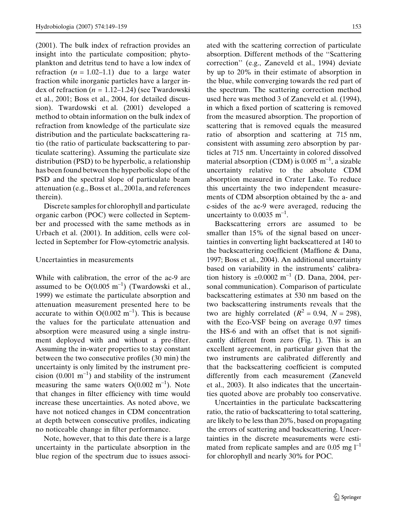(2001). The bulk index of refraction provides an insight into the particulate composition; phytoplankton and detritus tend to have a low index of refraction  $(n = 1.02-1.1)$  due to a large water fraction while inorganic particles have a larger index of refraction ( $n = 1.12{\text -}1.24$ ) (see Twardowski et al., 2001; Boss et al., 2004, for detailed discussion). Twardowski et al. (2001) developed a method to obtain information on the bulk index of refraction from knowledge of the particulate size distribution and the particulate backscattering ratio (the ratio of particulate backscattering to particulate scattering). Assuming the particulate size distribution (PSD) to be hyperbolic, a relationship has been found between the hyperbolic slope of the PSD and the spectral slope of particulate beam attenuation (e.g., Boss et al., 2001a, and references therein).

Discrete samples for chlorophyll and particulate organic carbon (POC) were collected in September and processed with the same methods as in Urbach et al. (2001). In addition, cells were collected in September for Flow-cytometric analysis.

### Uncertainties in measurements

While with calibration, the error of the ac-9 are assumed to be  $O(0.005 \text{ m}^{-1})$  (Twardowski et al., 1999) we estimate the particulate absorption and attenuation measurement presented here to be accurate to within  $O(0.002 \text{ m}^{-1})$ . This is because the values for the particulate attenuation and absorption were measured using a single instrument deployed with and without a pre-filter. Assuming the in-water properties to stay constant between the two consecutive profiles (30 min) the uncertainty is only limited by the instrument precision  $(0.001 \text{ m}^{-1})$  and stability of the instrument measuring the same waters  $O(0.002 \text{ m}^{-1})$ . Note that changes in filter efficiency with time would increase these uncertainties. As noted above, we have not noticed changes in CDM concentration at depth between consecutive profiles, indicating no noticeable change in filter performance.

Note, however, that to this date there is a large uncertainty in the particulate absorption in the blue region of the spectrum due to issues associated with the scattering correction of particulate absorption. Different methods of the ''Scattering correction'' (e.g., Zaneveld et al., 1994) deviate by up to 20% in their estimate of absorption in the blue, while converging towards the red part of the spectrum. The scattering correction method used here was method 3 of Zaneveld et al. (1994), in which a fixed portion of scattering is removed from the measured absorption. The proportion of scattering that is removed equals the measured ratio of absorption and scattering at 715 nm, consistent with assuming zero absorption by particles at 715 nm. Uncertainty in colored dissolved material absorption (CDM) is 0.005  $m^{-1}$ , a sizable uncertainty relative to the absolute CDM absorption measured in Crater Lake. To reduce this uncertainty the two independent measurements of CDM absorption obtained by the a- and c-sides of the ac-9 were averaged, reducing the uncertainty to  $0.0035$  m<sup>-1</sup>.

Backscattering errors are assumed to be smaller than 15% of the signal based on uncertainties in converting light backscattered at 140 to the backscattering coefficient (Maffione & Dana, 1997; Boss et al., 2004). An additional uncertainty based on variability in the instruments' calibration history is  $\pm 0.0002$  m<sup>-1</sup> (D. Dana, 2004, personal communication). Comparison of particulate backscattering estimates at 530 nm based on the two backscattering instruments reveals that the two are highly correlated  $(R^2 = 0.94, N = 298)$ , with the Eco-VSF being on average 0.97 times the HS-6 and with an offset that is not significantly different from zero (Fig. 1). This is an excellent agreement, in particular given that the two instruments are calibrated differently and that the backscattering coefficient is computed differently from each measurement (Zaneveld et al., 2003). It also indicates that the uncertainties quoted above are probably too conservative.

Uncertainties in the particulate backscattering ratio, the ratio of backscattering to total scattering, are likely to be less than 20%, based on propagating the errors of scattering and backscattering. Uncertainties in the discrete measurements were estimated from replicate samples and are  $0.05$  mg  $l^{-1}$ for chlorophyll and nearly 30% for POC.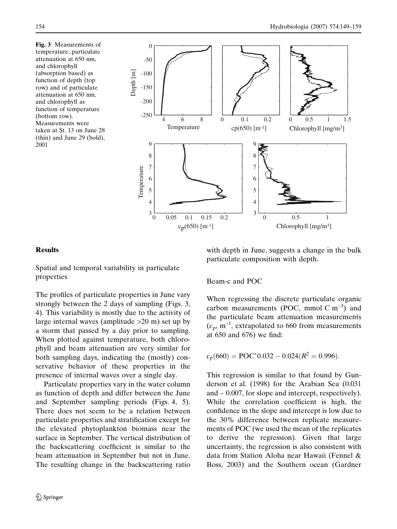Fig. 3 Measurements of temperature, particulate attenuation at 650 nm, and chlorophyll (absorption based) as function of depth (top row) and of particulate attenuation at 650 nm, and chlorophyll as function of temperature (bottom row). Measurements were taken at St. 13 on June 28 (thin) and June 29 (bold), 2001



## Results

Spatial and temporal variability in particulate properties

The profiles of particulate properties in June vary strongly between the 2 days of sampling (Figs. 3, 4). This variability is mostly due to the activity of large internal waves (amplitude >20 m) set up by a storm that passed by a day prior to sampling. When plotted against temperature, both chlorophyll and beam attenuation are very similar for both sampling days, indicating the (mostly) conservative behavior of these properties in the presence of internal waves over a single day.

Particulate properties vary in the water column as function of depth and differ between the June and September sampling periods (Figs. 4, 5). There does not seem to be a relation between particulate properties and stratification except for the elevated phytoplankton biomass near the surface in September. The vertical distribution of the backscattering coefficient is similar to the beam attenuation in September but not in June. The resulting change in the backscattering ratio with depth in June, suggests a change in the bulk particulate composition with depth.

# Beam-c and POC

When regressing the discrete particulate organic carbon measurements (POC, mmol C  $m^{-3}$ ) and the particulate beam attenuation measurements  $(c_p, m^{-1}$ , extrapolated to 660 from measurements at 650 and 676) we find:

$$
c_p(660) = \text{POC}^* 0.032 - 0.024 (R^2 = 0.996).
$$

This regression is similar to that found by Gunderson et al. (1998) for the Arabian Sea (0.031 and – 0.007, for slope and intercept, respectively). While the correlation coefficient is high, the confidence in the slope and intercept is low due to the 30% difference between replicate measurements of POC (we used the mean of the replicates to derive the regression). Given that large uncertainty, the regression is also consistent with data from Station Aloha near Hawaii (Fennel & Boss, 2003) and the Southern ocean (Gardner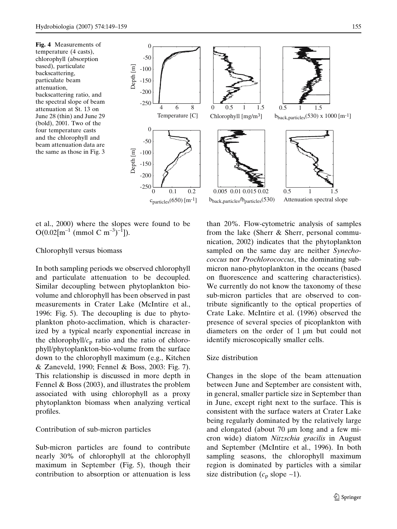Fig. 4 Measurements of temperature (4 casts), chlorophyll (absorption based), particulate backscattering, particulate beam attenuation, backscattering ratio, and the spectral slope of beam attenuation at St. 13 on June 28 (thin) and June 29 (bold), 2001. Two of the four temperature casts and the chlorophyll and beam attenuation data are the same as those in Fig. 3



et al., 2000) where the slopes were found to be  $O(0.02[m^{-1} \text{ (mmol C m}^{-3})^{-1}]).$ 

## Chlorophyll versus biomass

In both sampling periods we observed chlorophyll and particulate attenuation to be decoupled. Similar decoupling between phytoplankton biovolume and chlorophyll has been observed in past measurements in Crater Lake (McIntire et al., 1996: Fig. 5). The decoupling is due to phytoplankton photo-acclimation, which is characterized by a typical nearly exponential increase in the chlorophyll/ $c<sub>p</sub>$  ratio and the ratio of chlorophyll/phytoplankton-bio-volume from the surface down to the chlorophyll maximum (e.g., Kitchen & Zaneveld, 1990; Fennel & Boss, 2003: Fig. 7). This relationship is discussed in more depth in Fennel & Boss (2003), and illustrates the problem associated with using chlorophyll as a proxy phytoplankton biomass when analyzing vertical profiles.

### Contribution of sub-micron particles

Sub-micron particles are found to contribute nearly 30% of chlorophyll at the chlorophyll maximum in September (Fig. 5), though their contribution to absorption or attenuation is less

than 20%. Flow-cytometric analysis of samples from the lake (Sherr & Sherr, personal communication, 2002) indicates that the phytoplankton sampled on the same day are neither Synechococcus nor Prochlorococcus, the dominating submicron nano-phytoplankton in the oceans (based on fluorescence and scattering characteristics). We currently do not know the taxonomy of these sub-micron particles that are observed to contribute significantly to the optical properties of Crate Lake. McIntire et al. (1996) observed the presence of several species of picoplankton with diameters on the order of  $1 \mu m$  but could not identify microscopically smaller cells.

#### Size distribution

Changes in the slope of the beam attenuation between June and September are consistent with, in general, smaller particle size in September than in June, except right next to the surface. This is consistent with the surface waters at Crater Lake being regularly dominated by the relatively large and elongated (about  $70 \mu m$  long and a few micron wide) diatom Nitzschia gracilis in August and September (McIntire et al., 1996). In both sampling seasons, the chlorophyll maximum region is dominated by particles with a similar size distribution ( $c_p$  slope ~1).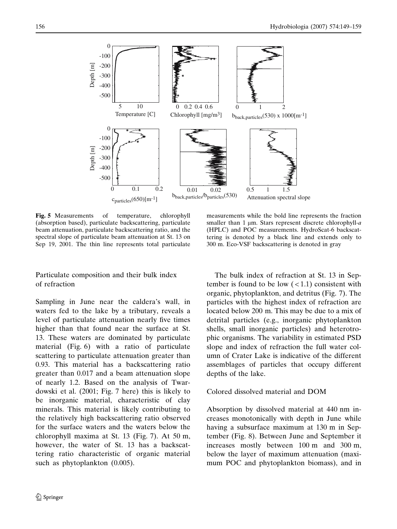

Fig. 5 Measurements of temperature, chlorophyll (absorption based), particulate backscattering, particulate beam attenuation, particulate backscattering ratio, and the spectral slope of particulate beam attenuation at St. 13 on Sep 19, 2001. The thin line represents total particulate

# Particulate composition and their bulk index of refraction

Sampling in June near the caldera's wall, in waters fed to the lake by a tributary, reveals a level of particulate attenuation nearly five times higher than that found near the surface at St. 13. These waters are dominated by particulate material (Fig. 6) with a ratio of particulate scattering to particulate attenuation greater than 0.93. This material has a backscattering ratio greater than 0.017 and a beam attenuation slope of nearly 1.2. Based on the analysis of Twardowski et al. (2001; Fig. 7 here) this is likely to be inorganic material, characteristic of clay minerals. This material is likely contributing to the relatively high backscattering ratio observed for the surface waters and the waters below the chlorophyll maxima at St. 13 (Fig. 7). At 50 m, however, the water of St. 13 has a backscattering ratio characteristic of organic material such as phytoplankton  $(0.005)$ .

The bulk index of refraction at St. 13 in September is found to be low  $\left($  < 1.1) consistent with

organic, phytoplankton, and detritus (Fig. 7). The particles with the highest index of refraction are located below 200 m. This may be due to a mix of detrital particles (e.g., inorganic phytoplankton shells, small inorganic particles) and heterotrophic organisms. The variability in estimated PSD slope and index of refraction the full water column of Crater Lake is indicative of the different assemblages of particles that occupy different depths of the lake.

measurements while the bold line represents the fraction smaller than 1  $\mu$ m. Stars represent discrete chlorophyll-a (HPLC) and POC measurements. HydroScat-6 backscattering is denoted by a black line and extends only to 300 m. Eco-VSF backscattering is denoted in gray

# Colored dissolved material and DOM

Absorption by dissolved material at 440 nm increases monotonically with depth in June while having a subsurface maximum at 130 m in September (Fig. 8). Between June and September it increases mostly between 100 m and 300 m, below the layer of maximum attenuation (maximum POC and phytoplankton biomass), and in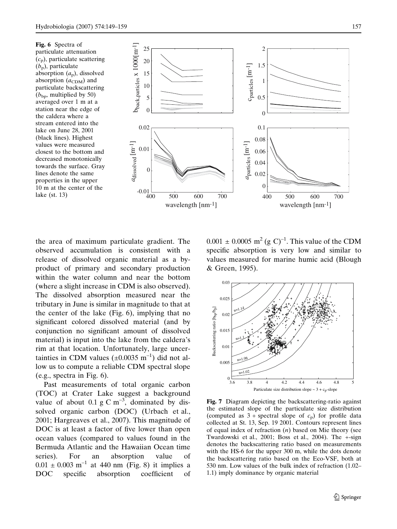Fig. 6 Spectra of particulate attenuation  $(c_p)$ , particulate scattering  $(b_p)$ , particulate absorption  $(a_p)$ , dissolved absorption  $(a_{CDM})$  and particulate backscattering  $(b_{bp}$ , multiplied by 50) averaged over 1 m at a station near the edge of the caldera where a stream entered into the lake on June 28, 2001 (black lines). Highest values were measured closest to the bottom and decreased monotonically towards the surface. Gray lines denote the same properties in the upper 10 m at the center of the lake (st. 13)



the area of maximum particulate gradient. The observed accumulation is consistent with a release of dissolved organic material as a byproduct of primary and secondary production within the water column and near the bottom (where a slight increase in CDM is also observed). The dissolved absorption measured near the tributary in June is similar in magnitude to that at the center of the lake (Fig. 6), implying that no significant colored dissolved material (and by conjunction no significant amount of dissolved material) is input into the lake from the caldera's rim at that location. Unfortunately, large uncertainties in CDM values ( $\pm 0.0035$  m<sup>-1</sup>) did not allow us to compute a reliable CDM spectral slope (e.g., spectra in Fig. 6).

Past measurements of total organic carbon (TOC) at Crater Lake suggest a background value of about 0.1 g C  $\text{m}^{-3}$ , dominated by dissolved organic carbon (DOC) (Urbach et al., 2001; Hargreaves et al., 2007). This magnitude of DOC is at least a factor of five lower than open ocean values (compared to values found in the Bermuda Atlantic and the Hawaiian Ocean time series). For an absorption value of  $0.01 \pm 0.003$  m<sup>-1</sup> at 440 nm (Fig. 8) it implies a DOC specific absorption coefficient of

 $0.001 \pm 0.0005$  m<sup>2</sup> (g C)<sup>-1</sup>. This value of the CDM specific absorption is very low and similar to values measured for marine humic acid (Blough & Green, 1995).



Fig. 7 Diagram depicting the backscattering-ratio against the estimated slope of the particulate size distribution (computed as  $3 +$  spectral slope of  $c_p$ ) for profile data collected at St. 13, Sep. 19 2001. Contours represent lines of equal index of refraction  $(n)$  based on Mie theory (see Twardowski et al., 2001; Boss et al., 2004). The +-sign denotes the backscattering ratio based on measurements with the HS-6 for the upper 300 m, while the dots denote the backscattering ratio based on the Eco-VSF, both at 530 nm. Low values of the bulk index of refraction (1.02– 1.1) imply dominance by organic material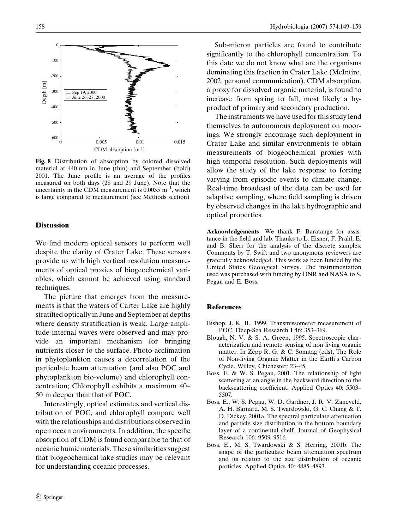

Fig. 8 Distribution of absorption by colored dissolved material at 440 nm in June (thin) and September (bold) 2001. The June profile is an average of the profiles measured on both days (28 and 29 June). Note that the uncertainty in the CDM measurement is  $0.0035 \text{ m}^{-1}$ , which is large compared to measurement (see Methods section)

#### **Discussion**

We find modern optical sensors to perform well despite the clarity of Crater Lake. These sensors provide us with high vertical resolution measurements of optical proxies of biogeochemical variables, which cannot be achieved using standard techniques.

The picture that emerges from the measurements is that the waters of Carter Lake are highly stratified optically in June and September at depths where density stratification is weak. Large amplitude internal waves were observed and may provide an important mechanism for bringing nutrients closer to the surface. Photo-acclimation in phytoplankton causes a decorrelation of the particulate beam attenuation (and also POC and phytoplankton bio-volume) and chlorophyll concentration; Chlorophyll exhibits a maximum 40– 50 m deeper than that of POC.

Interestingly, optical estimates and vertical distribution of POC, and chlorophyll compare well with the relationships and distributions observed in open ocean environments. In addition, the specific absorption of CDM is found comparable to that of oceanic humic materials. These similarities suggest that biogeochemical lake studies may be relevant for understanding oceanic processes.

Sub-micron particles are found to contribute significantly to the chlorophyll concentration. To this date we do not know what are the organisms dominating this fraction in Crater Lake (McIntire, 2002, personal communication). CDM absorption, a proxy for dissolved organic material, is found to increase from spring to fall, most likely a byproduct of primary and secondary production.

The instruments we have used for this study lend themselves to autonomous deployment on moorings. We strongly encourage such deployment in Crater Lake and similar environments to obtain measurements of biogeochemical proxies with high temporal resolution. Such deployments will allow the study of the lake response to forcing varying from episodic events to climate change. Real-time broadcast of the data can be used for adaptive sampling, where field sampling is driven by observed changes in the lake hydrographic and optical properties.

Acknowledgements We thank F. Baratange for assistance in the field and lab. Thanks to L. Eisner, F. Prahl, E. and B. Sherr for the analysis of the discrete samples. Comments by T. Swift and two anonymous reviewers are gratefully acknowledged. This work as been funded by the United States Geological Survey. The instrumentation used was purchased with funding by ONR and NASA to S. Pegau and E. Boss.

### References

- Bishop, J. K. B., 1999. Transmissometer measurement of POC. Deep-Sea Research I 46: 353–369.
- Blough, N. V. & S. A. Green, 1995. Spectroscopic characterization and remote sensing of non living organic matter. In Zepp R. G. & C. Sonntag (eds), The Role of Non-living Organic Matter in the Earth's Carbon Cycle. Willey, Chichester: 23–45.
- Boss, E. & W. S. Pegau, 2001. The relationship of light scattering at an angle in the backward direction to the backscattering coefficient. Applied Optics 40: 5503– 5507.
- Boss, E., W. S. Pegau, W. D. Gardner, J. R. V. Zaneveld, A. H. Barnard, M. S. Twardowski, G. C. Chang & T. D. Dickey, 2001a. The spectral particulate attenuation and particle size distribution in the bottom boundary layer of a continental shelf. Journal of Geophysical Research 106: 9509–9516.
- Boss, E., M. S. Twardowski & S. Herring, 2001b. The shape of the particulate beam attenuation spectrum and its relaton to the size distribution of oceanic particles. Applied Optics 40: 4885–4893.